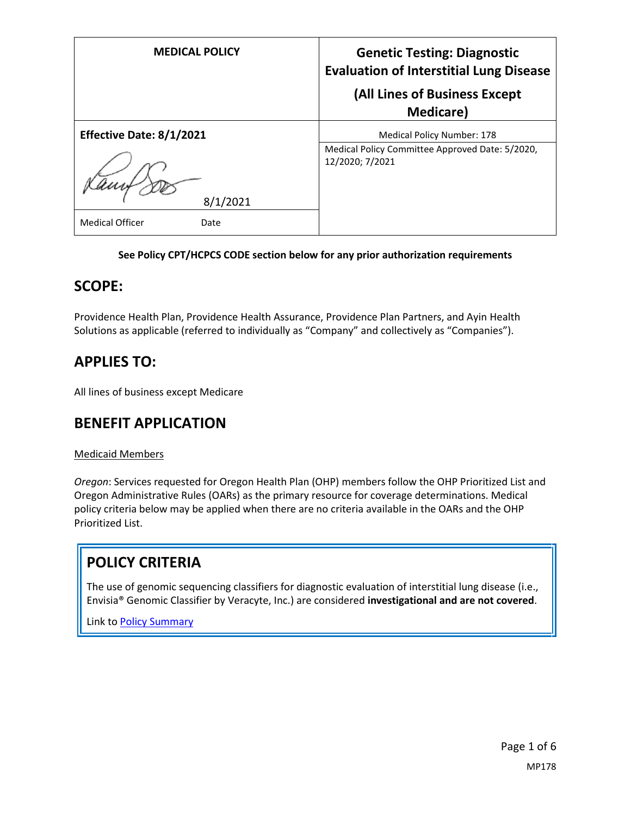| <b>MEDICAL POLICY</b>          | <b>Genetic Testing: Diagnostic</b><br><b>Evaluation of Interstitial Lung Disease</b><br>(All Lines of Business Except |
|--------------------------------|-----------------------------------------------------------------------------------------------------------------------|
| Effective Date: 8/1/2021       | <b>Medicare</b> )<br><b>Medical Policy Number: 178</b>                                                                |
| 8/1/2021                       | Medical Policy Committee Approved Date: 5/2020,<br>12/2020; 7/2021                                                    |
| <b>Medical Officer</b><br>Date |                                                                                                                       |

#### **See Policy CPT/HCPCS CODE section below for any prior authorization requirements**

### **SCOPE:**

Providence Health Plan, Providence Health Assurance, Providence Plan Partners, and Ayin Health Solutions as applicable (referred to individually as "Company" and collectively as "Companies").

## **APPLIES TO:**

All lines of business except Medicare

### **BENEFIT APPLICATION**

#### Medicaid Members

*Oregon*: Services requested for Oregon Health Plan (OHP) members follow the OHP Prioritized List and Oregon Administrative Rules (OARs) as the primary resource for coverage determinations. Medical policy criteria below may be applied when there are no criteria available in the OARs and the OHP Prioritized List.

### **POLICY CRITERIA**

The use of genomic sequencing classifiers for diagnostic evaluation of interstitial lung disease (i.e., Envisia® Genomic Classifier by Veracyte, Inc.) are considered **investigational and are not covered**.

Link t[o Policy Summary](#page-4-0)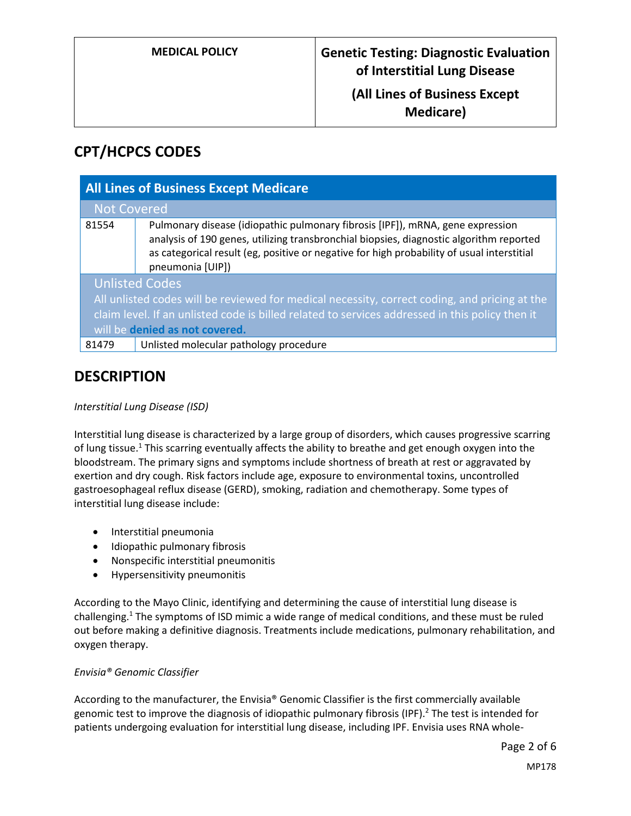### **(All Lines of Business Except Medicare)**

# **CPT/HCPCS CODES**

| <b>All Lines of Business Except Medicare</b>                                                    |                                                                                                                                                                                                                                                                                             |
|-------------------------------------------------------------------------------------------------|---------------------------------------------------------------------------------------------------------------------------------------------------------------------------------------------------------------------------------------------------------------------------------------------|
| <b>Not Covered</b>                                                                              |                                                                                                                                                                                                                                                                                             |
| 81554                                                                                           | Pulmonary disease (idiopathic pulmonary fibrosis [IPF]), mRNA, gene expression<br>analysis of 190 genes, utilizing transbronchial biopsies, diagnostic algorithm reported<br>as categorical result (eg, positive or negative for high probability of usual interstitial<br>pneumonia [UIP]) |
| <b>Unlisted Codes</b>                                                                           |                                                                                                                                                                                                                                                                                             |
| All unlisted codes will be reviewed for medical necessity, correct coding, and pricing at the   |                                                                                                                                                                                                                                                                                             |
| claim level. If an unlisted code is billed related to services addressed in this policy then it |                                                                                                                                                                                                                                                                                             |
| will be denied as not covered.                                                                  |                                                                                                                                                                                                                                                                                             |
| 81479                                                                                           | Unlisted molecular pathology procedure                                                                                                                                                                                                                                                      |

### **DESCRIPTION**

#### *Interstitial Lung Disease (ISD)*

Interstitial lung disease is characterized by a large group of disorders, which causes progressive scarring of lung tissue.<sup>1</sup> This scarring eventually affects the ability to breathe and get enough oxygen into the bloodstream. The primary signs and symptoms include shortness of breath at rest or aggravated by exertion and dry cough. Risk factors include age, exposure to environmental toxins, uncontrolled gastroesophageal reflux disease (GERD), smoking, radiation and chemotherapy. Some types of interstitial lung disease include:

- Interstitial pneumonia
- Idiopathic pulmonary fibrosis
- Nonspecific interstitial pneumonitis
- Hypersensitivity pneumonitis

According to the Mayo Clinic, identifying and determining the cause of interstitial lung disease is challenging.<sup>1</sup> The symptoms of ISD mimic a wide range of medical conditions, and these must be ruled out before making a definitive diagnosis. Treatments include medications, pulmonary rehabilitation, and oxygen therapy.

#### *Envisia® Genomic Classifier*

According to the manufacturer, the Envisia® Genomic Classifier is the first commercially available genomic test to improve the diagnosis of idiopathic pulmonary fibrosis (IPF).<sup>2</sup> The test is intended for patients undergoing evaluation for interstitial lung disease, including IPF. Envisia uses RNA whole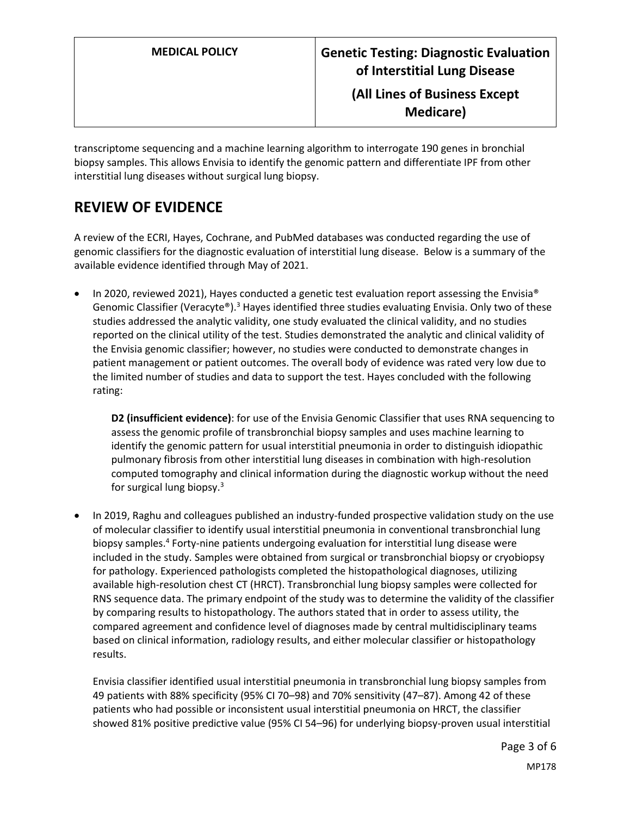transcriptome sequencing and a machine learning algorithm to interrogate 190 genes in bronchial biopsy samples. This allows Envisia to identify the genomic pattern and differentiate IPF from other interstitial lung diseases without surgical lung biopsy.

## **REVIEW OF EVIDENCE**

A review of the ECRI, Hayes, Cochrane, and PubMed databases was conducted regarding the use of genomic classifiers for the diagnostic evaluation of interstitial lung disease. Below is a summary of the available evidence identified through May of 2021.

 In 2020, reviewed 2021), Hayes conducted a genetic test evaluation report assessing the Envisia® Genomic Classifier (Veracyte®).<sup>3</sup> Hayes identified three studies evaluating Envisia. Only two of these studies addressed the analytic validity, one study evaluated the clinical validity, and no studies reported on the clinical utility of the test. Studies demonstrated the analytic and clinical validity of the Envisia genomic classifier; however, no studies were conducted to demonstrate changes in patient management or patient outcomes. The overall body of evidence was rated very low due to the limited number of studies and data to support the test. Hayes concluded with the following rating:

**D2 (insufficient evidence)**: for use of the Envisia Genomic Classifier that uses RNA sequencing to assess the genomic profile of transbronchial biopsy samples and uses machine learning to identify the genomic pattern for usual interstitial pneumonia in order to distinguish idiopathic pulmonary fibrosis from other interstitial lung diseases in combination with high-resolution computed tomography and clinical information during the diagnostic workup without the need for surgical lung biopsy. $3$ 

 In 2019, Raghu and colleagues published an industry-funded prospective validation study on the use of molecular classifier to identify usual interstitial pneumonia in conventional transbronchial lung biopsy samples.<sup>4</sup> Forty-nine patients undergoing evaluation for interstitial lung disease were included in the study. Samples were obtained from surgical or transbronchial biopsy or cryobiopsy for pathology. Experienced pathologists completed the histopathological diagnoses, utilizing available high-resolution chest CT (HRCT). Transbronchial lung biopsy samples were collected for RNS sequence data. The primary endpoint of the study was to determine the validity of the classifier by comparing results to histopathology. The authors stated that in order to assess utility, the compared agreement and confidence level of diagnoses made by central multidisciplinary teams based on clinical information, radiology results, and either molecular classifier or histopathology results.

Envisia classifier identified usual interstitial pneumonia in transbronchial lung biopsy samples from 49 patients with 88% specificity (95% CI 70–98) and 70% sensitivity (47–87). Among 42 of these patients who had possible or inconsistent usual interstitial pneumonia on HRCT, the classifier showed 81% positive predictive value (95% CI 54–96) for underlying biopsy-proven usual interstitial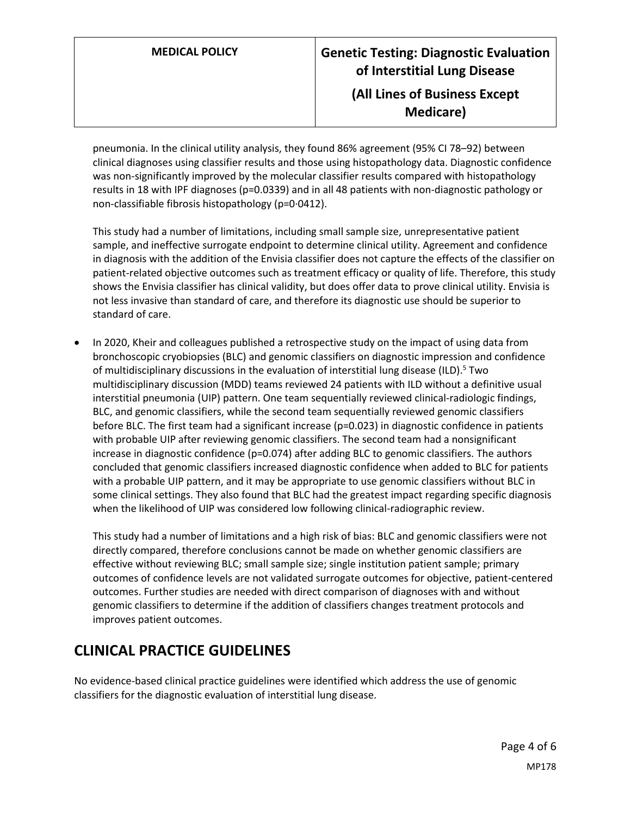pneumonia. In the clinical utility analysis, they found 86% agreement (95% CI 78–92) between clinical diagnoses using classifier results and those using histopathology data. Diagnostic confidence was non-significantly improved by the molecular classifier results compared with histopathology results in 18 with IPF diagnoses (p=0.0339) and in all 48 patients with non-diagnostic pathology or non-classifiable fibrosis histopathology (p=0∙0412).

This study had a number of limitations, including small sample size, unrepresentative patient sample, and ineffective surrogate endpoint to determine clinical utility. Agreement and confidence in diagnosis with the addition of the Envisia classifier does not capture the effects of the classifier on patient-related objective outcomes such as treatment efficacy or quality of life. Therefore, this study shows the Envisia classifier has clinical validity, but does offer data to prove clinical utility. Envisia is not less invasive than standard of care, and therefore its diagnostic use should be superior to standard of care.

 In 2020, Kheir and colleagues published a retrospective study on the impact of using data from bronchoscopic cryobiopsies (BLC) and genomic classifiers on diagnostic impression and confidence of multidisciplinary discussions in the evaluation of interstitial lung disease (ILD). <sup>5</sup> Two multidisciplinary discussion (MDD) teams reviewed 24 patients with ILD without a definitive usual interstitial pneumonia (UIP) pattern. One team sequentially reviewed clinical-radiologic findings, BLC, and genomic classifiers, while the second team sequentially reviewed genomic classifiers before BLC. The first team had a significant increase (p=0.023) in diagnostic confidence in patients with probable UIP after reviewing genomic classifiers. The second team had a nonsignificant increase in diagnostic confidence (p=0.074) after adding BLC to genomic classifiers. The authors concluded that genomic classifiers increased diagnostic confidence when added to BLC for patients with a probable UIP pattern, and it may be appropriate to use genomic classifiers without BLC in some clinical settings. They also found that BLC had the greatest impact regarding specific diagnosis when the likelihood of UIP was considered low following clinical-radiographic review.

This study had a number of limitations and a high risk of bias: BLC and genomic classifiers were not directly compared, therefore conclusions cannot be made on whether genomic classifiers are effective without reviewing BLC; small sample size; single institution patient sample; primary outcomes of confidence levels are not validated surrogate outcomes for objective, patient-centered outcomes. Further studies are needed with direct comparison of diagnoses with and without genomic classifiers to determine if the addition of classifiers changes treatment protocols and improves patient outcomes.

### **CLINICAL PRACTICE GUIDELINES**

No evidence-based clinical practice guidelines were identified which address the use of genomic classifiers for the diagnostic evaluation of interstitial lung disease.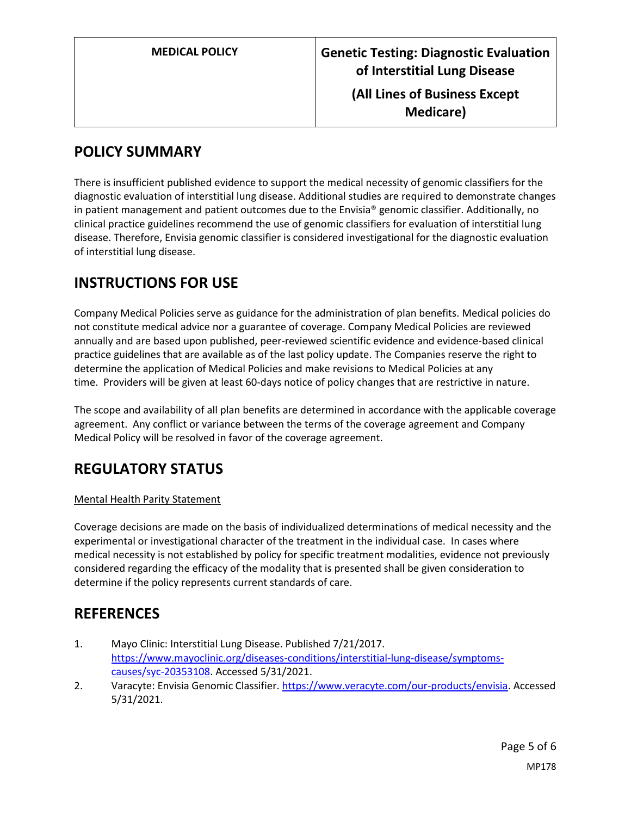## <span id="page-4-0"></span>**POLICY SUMMARY**

There is insufficient published evidence to support the medical necessity of genomic classifiers for the diagnostic evaluation of interstitial lung disease. Additional studies are required to demonstrate changes in patient management and patient outcomes due to the Envisia® genomic classifier. Additionally, no clinical practice guidelines recommend the use of genomic classifiers for evaluation of interstitial lung disease. Therefore, Envisia genomic classifier is considered investigational for the diagnostic evaluation of interstitial lung disease.

### **INSTRUCTIONS FOR USE**

Company Medical Policies serve as guidance for the administration of plan benefits. Medical policies do not constitute medical advice nor a guarantee of coverage. Company Medical Policies are reviewed annually and are based upon published, peer-reviewed scientific evidence and evidence-based clinical practice guidelines that are available as of the last policy update. The Companies reserve the right to determine the application of Medical Policies and make revisions to Medical Policies at any time. Providers will be given at least 60-days notice of policy changes that are restrictive in nature.

The scope and availability of all plan benefits are determined in accordance with the applicable coverage agreement. Any conflict or variance between the terms of the coverage agreement and Company Medical Policy will be resolved in favor of the coverage agreement.

## **REGULATORY STATUS**

#### Mental Health Parity Statement

Coverage decisions are made on the basis of individualized determinations of medical necessity and the experimental or investigational character of the treatment in the individual case. In cases where medical necessity is not established by policy for specific treatment modalities, evidence not previously considered regarding the efficacy of the modality that is presented shall be given consideration to determine if the policy represents current standards of care.

### **REFERENCES**

- 1. Mayo Clinic: Interstitial Lung Disease. Published 7/21/2017. [https://www.mayoclinic.org/diseases-conditions/interstitial-lung-disease/symptoms](https://www.mayoclinic.org/diseases-conditions/interstitial-lung-disease/symptoms-causes/syc-20353108)[causes/syc-20353108.](https://www.mayoclinic.org/diseases-conditions/interstitial-lung-disease/symptoms-causes/syc-20353108) Accessed 5/31/2021.
- 2. Varacyte: Envisia Genomic Classifier[. https://www.veracyte.com/our-products/envisia.](https://www.veracyte.com/our-products/envisia) Accessed 5/31/2021.

Page 5 of 6 MP178